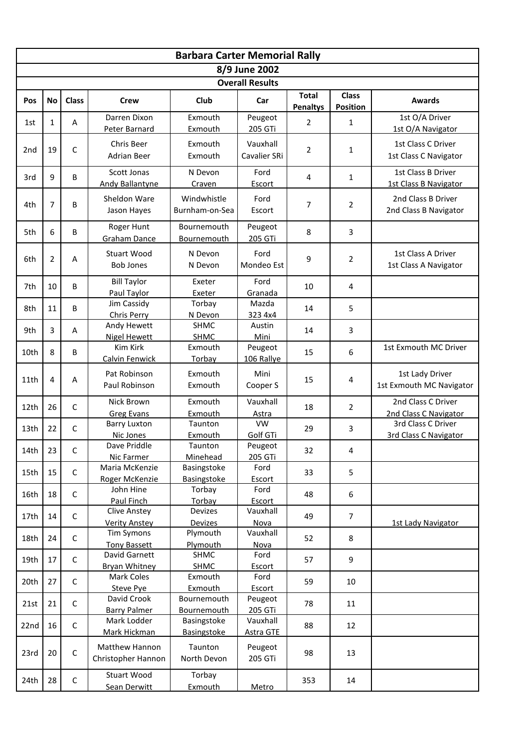|                                         | <b>Barbara Carter Memorial Rally</b> |              |                                             |                                          |                              |                                 |                                 |                                             |  |  |  |  |  |  |
|-----------------------------------------|--------------------------------------|--------------|---------------------------------------------|------------------------------------------|------------------------------|---------------------------------|---------------------------------|---------------------------------------------|--|--|--|--|--|--|
| 8/9 June 2002<br><b>Overall Results</b> |                                      |              |                                             |                                          |                              |                                 |                                 |                                             |  |  |  |  |  |  |
|                                         |                                      |              |                                             |                                          |                              |                                 |                                 |                                             |  |  |  |  |  |  |
| <b>Pos</b>                              | <b>No</b>                            | <b>Class</b> | <b>Crew</b>                                 | Club                                     | Car                          | <b>Total</b><br><b>Penaltys</b> | <b>Class</b><br><b>Position</b> | <b>Awards</b>                               |  |  |  |  |  |  |
| 1st                                     | 1                                    | Α            | Darren Dixon<br>Peter Barnard               | Exmouth<br>Peugeot<br>Exmouth<br>205 GTi |                              | $\overline{2}$                  | 1                               | 1st O/A Driver<br>1st O/A Navigator         |  |  |  |  |  |  |
| 2nd                                     | 19                                   | $\mathsf{C}$ | Chris Beer<br><b>Adrian Beer</b>            | Exmouth<br>Exmouth                       | Vauxhall<br>Cavalier SRi     | $\overline{2}$                  | 1                               | 1st Class C Driver<br>1st Class C Navigator |  |  |  |  |  |  |
| 3rd                                     | 9                                    | B            | Scott Jonas<br><b>Andy Ballantyne</b>       | N Devon<br>Craven                        | Ford<br>Escort               | 4                               | 1                               | 1st Class B Driver<br>1st Class B Navigator |  |  |  |  |  |  |
| 4th                                     | 7                                    | B            | Sheldon Ware<br>Jason Hayes                 | Windwhistle<br>Burnham-on-Sea            | Ford<br>Escort               | $\overline{7}$                  | 2                               | 2nd Class B Driver<br>2nd Class B Navigator |  |  |  |  |  |  |
| 5th                                     | 6                                    | B            | Roger Hunt<br><b>Graham Dance</b>           | Bournemouth<br><b>Bournemouth</b>        | Peugeot<br>205 GTi           | 8                               | 3                               |                                             |  |  |  |  |  |  |
| 6th                                     | $\overline{2}$                       | A            | <b>Stuart Wood</b><br><b>Bob Jones</b>      | N Devon<br>N Devon                       | Ford<br>Mondeo Est           | 9                               | $\overline{2}$                  | 1st Class A Driver<br>1st Class A Navigator |  |  |  |  |  |  |
| 7th                                     | 10                                   | B            | <b>Bill Taylor</b><br>Paul Taylor           | Exeter<br>Exeter                         | Ford<br>Granada              | 10                              | 4                               |                                             |  |  |  |  |  |  |
| 8th                                     | 11                                   | B            | Jim Cassidy<br>Chris Perry                  | Torbay<br>N Devon                        | Mazda<br>323 4x4             | 14                              | 5                               |                                             |  |  |  |  |  |  |
| 9th                                     | 3                                    | A            | Andy Hewett<br><b>Nigel Hewett</b>          | <b>SHMC</b><br><b>SHMC</b>               | Austin<br>Mini               | 14                              | 3                               |                                             |  |  |  |  |  |  |
| 10th                                    | 8                                    | B            | Kim Kirk<br><b>Calvin Fenwick</b>           | Exmouth<br>Torbay                        | Peugeot<br>106 Rallye        | 15                              | 6                               | 1st Exmouth MC Driver                       |  |  |  |  |  |  |
| 11th                                    | 4                                    | A            | Pat Robinson<br>Paul Robinson               | Exmouth<br>Exmouth                       | Mini<br>Cooper S             | 15                              | 4                               | 1st Lady Driver<br>1st Exmouth MC Navigator |  |  |  |  |  |  |
| 12th                                    | 26                                   | $\mathsf{C}$ | Nick Brown<br><b>Greg Evans</b>             | Exmouth<br>Exmouth                       | Vauxhall<br>Astra            | 18                              | $\overline{2}$                  | 2nd Class C Driver<br>2nd Class C Navigator |  |  |  |  |  |  |
| 13th                                    | 22                                   | C            | <b>Barry Luxton</b><br>Nic Jones            | Taunton<br>Exmouth                       | <b>VW</b><br>Golf GTi        | 29                              | 3                               | 3rd Class C Driver<br>3rd Class C Navigator |  |  |  |  |  |  |
| 14th                                    | 23                                   | C            | Dave Priddle<br>Nic Farmer                  | Taunton<br>Minehead                      | Peugeot<br>205 GTi           | 32                              | 4                               |                                             |  |  |  |  |  |  |
| 15th                                    | 15                                   | $\mathsf C$  | Maria McKenzie<br>Roger McKenzie            | Basingstoke<br>Basingstoke               | Ford<br><b>Escort</b>        | 33                              |                                 |                                             |  |  |  |  |  |  |
| 16th                                    | 18                                   | C            | John Hine<br>Paul Finch                     | Torbay<br>Torbay                         | Ford<br>Escort               | 48                              | 6                               |                                             |  |  |  |  |  |  |
| 17th                                    | 14                                   | $\mathsf C$  | <b>Clive Anstey</b><br><b>Verity Anstey</b> | Devizes<br>Devizes                       | Vauxhall<br>Nova             | 49                              | $\overline{7}$                  | 1st Lady Navigator                          |  |  |  |  |  |  |
| 18th                                    | 24                                   | $\mathsf C$  | <b>Tim Symons</b><br><b>Tony Bassett</b>    | Plymouth<br>Plymouth                     | Vauxhall<br><b>Nova</b>      | 52                              | 8                               |                                             |  |  |  |  |  |  |
| 19th                                    | 17                                   | $\mathsf C$  | David Garnett<br><b>Bryan Whitney</b>       | SHMC<br><b>SHMC</b>                      | Ford<br>Escort               | 57                              | $\boldsymbol{9}$                |                                             |  |  |  |  |  |  |
| 20th                                    | 27                                   | $\mathsf C$  | Mark Coles<br><b>Steve Pye</b>              | Exmouth<br>Exmouth                       | Ford<br>Escort               | 59                              | 10                              |                                             |  |  |  |  |  |  |
| 21st                                    | 21                                   | $\mathsf C$  | David Crook<br><b>Barry Palmer</b>          | Bournemouth<br>Bournemouth               | Peugeot<br>205 GTi           | 78                              | 11                              |                                             |  |  |  |  |  |  |
| 22nd                                    | 16                                   | C            | Mark Lodder<br>Mark Hickman                 | Basingstoke<br>Basingstoke               | Vauxhall<br><b>Astra GTE</b> | 88                              | 12                              |                                             |  |  |  |  |  |  |
| 23rd                                    | 20                                   | $\mathsf C$  | Matthew Hannon<br>Christopher Hannon        | Taunton<br>North Devon                   | Peugeot<br>205 GTi           | 98                              | 13                              |                                             |  |  |  |  |  |  |
| 24th                                    | 28                                   | $\mathsf C$  | <b>Stuart Wood</b><br>Sean Derwitt          | Torbay<br>Exmouth                        | <b>Metro</b>                 | 353                             | 14                              |                                             |  |  |  |  |  |  |